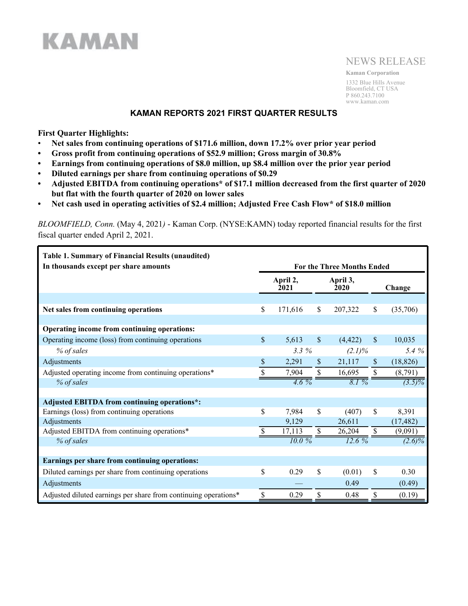

# NEWS RELEASE

**Kaman Corporation** 1332 Blue Hills Avenue Bloomfield, CT USA P 860.243.7100 www.kaman.com

## **KAMAN REPORTS 2021 FIRST QUARTER RESULTS**

**First Quarter Highlights:**

**KAMAN** 

- **Net sales from continuing operations of \$171.6 million, down 17.2% over prior year period**
- **• Gross profit from continuing operations of \$52.9 million; Gross margin of 30.8%**
- **• Earnings from continuing operations of \$8.0 million, up \$8.4 million over the prior year period**
- **• Diluted earnings per share from continuing operations of \$0.29**
- **• Adjusted EBITDA from continuing operations\* of \$17.1 million decreased from the first quarter of 2020 but flat with the fourth quarter of 2020 on lower sales**
- **• Net cash used in operating activities of \$2.4 million; Adjusted Free Cash Flow\* of \$18.0 million**

*BLOOMFIELD, Conn.* (May 4, 2021*)* - Kaman Corp. (NYSE:KAMN) today reported financial results for the first fiscal quarter ended April 2, 2021.

| <b>Table 1. Summary of Financial Results (unaudited)</b>        |                                   |                  |               |                                           |               |           |
|-----------------------------------------------------------------|-----------------------------------|------------------|---------------|-------------------------------------------|---------------|-----------|
| In thousands except per share amounts                           | <b>For the Three Months Ended</b> |                  |               |                                           |               |           |
|                                                                 |                                   | April 2,<br>2021 |               | April 3,<br><b>2020</b>                   |               | Change    |
|                                                                 |                                   |                  |               |                                           |               |           |
| Net sales from continuing operations                            | \$                                | 171,616          | \$            | 207,322                                   | \$            | (35,706)  |
|                                                                 |                                   |                  |               |                                           |               |           |
| Operating income from continuing operations:                    |                                   |                  |               |                                           |               |           |
| Operating income (loss) from continuing operations              | $\mathsf{\$}$                     | 5,613            | $\mathcal{S}$ | (4, 422)                                  | $\mathbb{S}$  | 10,035    |
| % of sales                                                      |                                   | 3.3%             |               | $(2.1)\%$                                 |               | 5.4 %     |
| Adjustments                                                     | \$                                | 2,291            | S.            | 21,117                                    | S             | (18, 826) |
| Adjusted operating income from continuing operations*           |                                   | 7,904            |               | 16,695                                    | $\mathcal{S}$ | (8,791)   |
| % of sales                                                      |                                   | $4.6\%$          |               | $\overline{\delta}$ . $\overline{\delta}$ |               | $(3.5)\%$ |
|                                                                 |                                   |                  |               |                                           |               |           |
| <b>Adjusted EBITDA from continuing operations*:</b>             |                                   |                  |               |                                           |               |           |
| Earnings (loss) from continuing operations                      | \$                                | 7,984            | \$            | (407)                                     | <sup>\$</sup> | 8,391     |
| Adjustments                                                     |                                   | 9,129            |               | 26,611                                    |               | (17, 482) |
| Adjusted EBITDA from continuing operations*                     |                                   | 17,113           | \$            | 26,204                                    | \$            | (9,091)   |
| % of sales                                                      |                                   | 10.0%            |               |                                           |               | $(2.6)\%$ |
|                                                                 |                                   |                  |               |                                           |               |           |
| Earnings per share from continuing operations:                  |                                   |                  |               |                                           |               |           |
| Diluted earnings per share from continuing operations           | \$                                | 0.29             | \$            | (0.01)                                    | \$            | 0.30      |
| Adjustments                                                     |                                   |                  |               | 0.49                                      |               | (0.49)    |
| Adjusted diluted earnings per share from continuing operations* | \$                                | 0.29             | \$            | 0.48                                      | \$            | (0.19)    |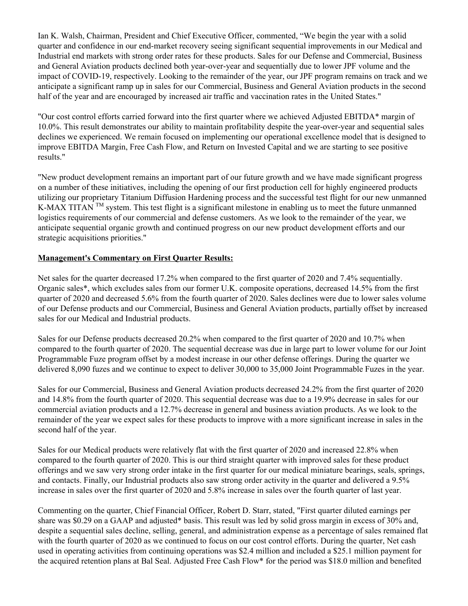Ian K. Walsh, Chairman, President and Chief Executive Officer, commented, "We begin the year with a solid quarter and confidence in our end-market recovery seeing significant sequential improvements in our Medical and Industrial end markets with strong order rates for these products. Sales for our Defense and Commercial, Business and General Aviation products declined both year-over-year and sequentially due to lower JPF volume and the impact of COVID-19, respectively. Looking to the remainder of the year, our JPF program remains on track and we anticipate a significant ramp up in sales for our Commercial, Business and General Aviation products in the second half of the year and are encouraged by increased air traffic and vaccination rates in the United States."

"Our cost control efforts carried forward into the first quarter where we achieved Adjusted EBITDA\* margin of 10.0%. This result demonstrates our ability to maintain profitability despite the year-over-year and sequential sales declines we experienced. We remain focused on implementing our operational excellence model that is designed to improve EBITDA Margin, Free Cash Flow, and Return on Invested Capital and we are starting to see positive results."

"New product development remains an important part of our future growth and we have made significant progress on a number of these initiatives, including the opening of our first production cell for highly engineered products utilizing our proprietary Titanium Diffusion Hardening process and the successful test flight for our new unmanned K-MAX TITAN  $TM$  system. This test flight is a significant milestone in enabling us to meet the future unmanned logistics requirements of our commercial and defense customers. As we look to the remainder of the year, we anticipate sequential organic growth and continued progress on our new product development efforts and our strategic acquisitions priorities."

## **Management's Commentary on First Quarter Results:**

Net sales for the quarter decreased 17.2% when compared to the first quarter of 2020 and 7.4% sequentially. Organic sales\*, which excludes sales from our former U.K. composite operations, decreased 14.5% from the first quarter of 2020 and decreased 5.6% from the fourth quarter of 2020. Sales declines were due to lower sales volume of our Defense products and our Commercial, Business and General Aviation products, partially offset by increased sales for our Medical and Industrial products.

Sales for our Defense products decreased 20.2% when compared to the first quarter of 2020 and 10.7% when compared to the fourth quarter of 2020. The sequential decrease was due in large part to lower volume for our Joint Programmable Fuze program offset by a modest increase in our other defense offerings. During the quarter we delivered 8,090 fuzes and we continue to expect to deliver 30,000 to 35,000 Joint Programmable Fuzes in the year.

Sales for our Commercial, Business and General Aviation products decreased 24.2% from the first quarter of 2020 and 14.8% from the fourth quarter of 2020. This sequential decrease was due to a 19.9% decrease in sales for our commercial aviation products and a 12.7% decrease in general and business aviation products. As we look to the remainder of the year we expect sales for these products to improve with a more significant increase in sales in the second half of the year.

Sales for our Medical products were relatively flat with the first quarter of 2020 and increased 22.8% when compared to the fourth quarter of 2020. This is our third straight quarter with improved sales for these product offerings and we saw very strong order intake in the first quarter for our medical miniature bearings, seals, springs, and contacts. Finally, our Industrial products also saw strong order activity in the quarter and delivered a 9.5% increase in sales over the first quarter of 2020 and 5.8% increase in sales over the fourth quarter of last year.

Commenting on the quarter, Chief Financial Officer, Robert D. Starr, stated, "First quarter diluted earnings per share was \$0.29 on a GAAP and adjusted\* basis. This result was led by solid gross margin in excess of 30% and, despite a sequential sales decline, selling, general, and administration expense as a percentage of sales remained flat with the fourth quarter of 2020 as we continued to focus on our cost control efforts. During the quarter, Net cash used in operating activities from continuing operations was \$2.4 million and included a \$25.1 million payment for the acquired retention plans at Bal Seal. Adjusted Free Cash Flow\* for the period was \$18.0 million and benefited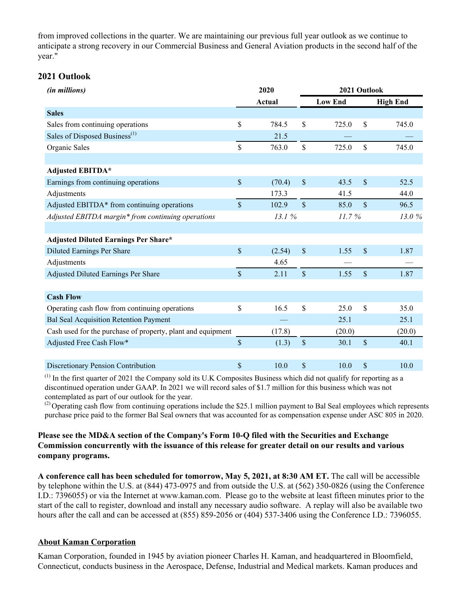from improved collections in the quarter. We are maintaining our previous full year outlook as we continue to anticipate a strong recovery in our Commercial Business and General Aviation products in the second half of the year."

## **2021 Outlook**

| (in millions)                                               | 2020         |        |               | 2021 Outlook                      |        |  |
|-------------------------------------------------------------|--------------|--------|---------------|-----------------------------------|--------|--|
|                                                             |              | Actual |               | <b>Low End</b><br><b>High End</b> |        |  |
| <b>Sales</b>                                                |              |        |               |                                   |        |  |
| Sales from continuing operations                            | \$           | 784.5  | \$            | \$<br>725.0                       | 745.0  |  |
| Sales of Disposed Business <sup>(1)</sup>                   |              | 21.5   |               |                                   |        |  |
| Organic Sales                                               | \$           | 763.0  | \$            | \$<br>725.0                       | 745.0  |  |
|                                                             |              |        |               |                                   |        |  |
| <b>Adjusted EBITDA*</b>                                     |              |        |               |                                   |        |  |
| Earnings from continuing operations                         | \$           | (70.4) | $\mathsf{\$}$ | \$<br>43.5                        | 52.5   |  |
| Adjustments                                                 |              | 173.3  |               | 41.5                              | 44.0   |  |
| Adjusted EBITDA* from continuing operations                 | $\mathbb{S}$ | 102.9  | $\mathsf{\$}$ | $\mathbb{S}$<br>85.0              | 96.5   |  |
| Adjusted EBITDA margin* from continuing operations          |              | 13.1%  |               | 11.7%                             | 13.0%  |  |
|                                                             |              |        |               |                                   |        |  |
| <b>Adjusted Diluted Earnings Per Share*</b>                 |              |        |               |                                   |        |  |
| <b>Diluted Earnings Per Share</b>                           | \$           | (2.54) | $\mathsf{\$}$ | \$<br>1.55                        | 1.87   |  |
| Adjustments                                                 |              | 4.65   |               |                                   |        |  |
| Adjusted Diluted Earnings Per Share                         | \$           | 2.11   | $\mathsf{\$}$ | \$<br>1.55                        | 1.87   |  |
|                                                             |              |        |               |                                   |        |  |
| <b>Cash Flow</b>                                            |              |        |               |                                   |        |  |
| Operating cash flow from continuing operations              | \$           | 16.5   | \$            | \$<br>25.0                        | 35.0   |  |
| <b>Bal Seal Acquisition Retention Payment</b>               |              |        |               | 25.1                              | 25.1   |  |
| Cash used for the purchase of property, plant and equipment |              | (17.8) |               | (20.0)                            | (20.0) |  |
| Adjusted Free Cash Flow*                                    | \$           | (1.3)  | $\$$          | \$<br>30.1                        | 40.1   |  |
|                                                             |              |        |               |                                   |        |  |
| Discretionary Pension Contribution                          | \$           | 10.0   | \$            | \$<br>10.0                        | 10.0   |  |

(1) In the first quarter of 2021 the Company sold its U.K Composites Business which did not qualify for reporting as a discontinued operation under GAAP. In 2021 we will record sales of \$1.7 million for this business which was not contemplated as part of our outlook for the year.

 $^{(2)}$  Operating cash flow from continuing operations include the \$25.1 million payment to Bal Seal employees which represents purchase price paid to the former Bal Seal owners that was accounted for as compensation expense under ASC 805 in 2020.

## **Please see the MD&A section of the Company's Form 10-Q filed with the Securities and Exchange Commission concurrently with the issuance of this release for greater detail on our results and various company programs.**

**A conference call has been scheduled for tomorrow, May 5, 2021, at 8:30 AM ET.** The call will be accessible by telephone within the U.S. at (844) 473-0975 and from outside the U.S. at (562) 350-0826 (using the Conference I.D.: 7396055) or via the Internet at www.kaman.com. Please go to the website at least fifteen minutes prior to the start of the call to register, download and install any necessary audio software. A replay will also be available two hours after the call and can be accessed at (855) 859-2056 or (404) 537-3406 using the Conference I.D.: 7396055.

### **About Kaman Corporation**

Kaman Corporation, founded in 1945 by aviation pioneer Charles H. Kaman, and headquartered in Bloomfield, Connecticut, conducts business in the Aerospace, Defense, Industrial and Medical markets. Kaman produces and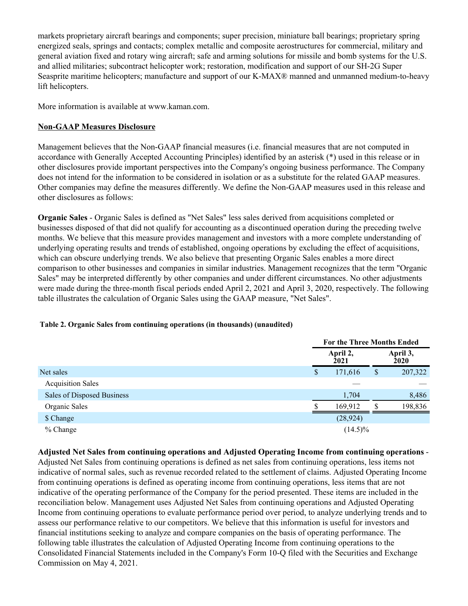markets proprietary aircraft bearings and components; super precision, miniature ball bearings; proprietary spring energized seals, springs and contacts; complex metallic and composite aerostructures for commercial, military and general aviation fixed and rotary wing aircraft; safe and arming solutions for missile and bomb systems for the U.S. and allied militaries; subcontract helicopter work; restoration, modification and support of our SH-2G Super Seasprite maritime helicopters; manufacture and support of our K-MAX® manned and unmanned medium-to-heavy lift helicopters.

More information is available at www.kaman.com.

# **Non-GAAP Measures Disclosure**

Management believes that the Non-GAAP financial measures (i.e. financial measures that are not computed in accordance with Generally Accepted Accounting Principles) identified by an asterisk (\*) used in this release or in other disclosures provide important perspectives into the Company's ongoing business performance. The Company does not intend for the information to be considered in isolation or as a substitute for the related GAAP measures. Other companies may define the measures differently. We define the Non-GAAP measures used in this release and other disclosures as follows:

**Organic Sales** - Organic Sales is defined as "Net Sales" less sales derived from acquisitions completed or businesses disposed of that did not qualify for accounting as a discontinued operation during the preceding twelve months. We believe that this measure provides management and investors with a more complete understanding of underlying operating results and trends of established, ongoing operations by excluding the effect of acquisitions, which can obscure underlying trends. We also believe that presenting Organic Sales enables a more direct comparison to other businesses and companies in similar industries. Management recognizes that the term "Organic Sales" may be interpreted differently by other companies and under different circumstances. No other adjustments were made during the three-month fiscal periods ended April 2, 2021 and April 3, 2020, respectively. The following table illustrates the calculation of Organic Sales using the GAAP measure, "Net Sales".

|                            |   | For the Three Months Ended |                  |         |  |  |  |
|----------------------------|---|----------------------------|------------------|---------|--|--|--|
|                            |   | April 2,<br>2021           | April 3,<br>2020 |         |  |  |  |
| Net sales                  | S | 171,616                    | \$               | 207,322 |  |  |  |
| <b>Acquisition Sales</b>   |   |                            |                  |         |  |  |  |
| Sales of Disposed Business |   | 1,704                      |                  | 8,486   |  |  |  |
| Organic Sales              |   | 169,912                    |                  | 198,836 |  |  |  |
| \$ Change                  |   | (28, 924)                  |                  |         |  |  |  |
| $%$ Change                 |   | $(14.5)\%$                 |                  |         |  |  |  |

### **Table 2. Organic Sales from continuing operations (in thousands) (unaudited)**

**Adjusted Net Sales from continuing operations and Adjusted Operating Income from continuing operations** - Adjusted Net Sales from continuing operations is defined as net sales from continuing operations, less items not indicative of normal sales, such as revenue recorded related to the settlement of claims. Adjusted Operating Income from continuing operations is defined as operating income from continuing operations, less items that are not indicative of the operating performance of the Company for the period presented. These items are included in the reconciliation below. Management uses Adjusted Net Sales from continuing operations and Adjusted Operating Income from continuing operations to evaluate performance period over period, to analyze underlying trends and to assess our performance relative to our competitors. We believe that this information is useful for investors and financial institutions seeking to analyze and compare companies on the basis of operating performance. The following table illustrates the calculation of Adjusted Operating Income from continuing operations to the Consolidated Financial Statements included in the Company's Form 10-Q filed with the Securities and Exchange Commission on May 4, 2021.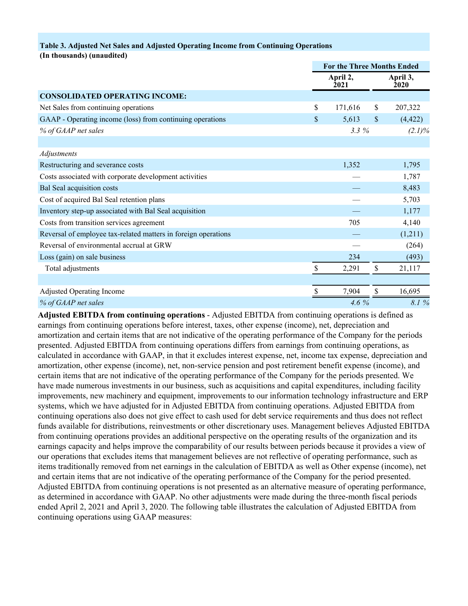#### **Table 3. Adjusted Net Sales and Adjusted Operating Income from Continuing Operations**

**(In thousands) (unaudited)**

|                                                                | <b>For the Three Months Ended</b> |    |                  |  |
|----------------------------------------------------------------|-----------------------------------|----|------------------|--|
|                                                                | April 2,<br>2021                  |    | April 3,<br>2020 |  |
| <b>CONSOLIDATED OPERATING INCOME:</b>                          |                                   |    |                  |  |
| Net Sales from continuing operations                           | \$<br>171,616                     | S  | 207,322          |  |
| GAAP - Operating income (loss) from continuing operations      | \$<br>5,613                       | \$ | (4, 422)         |  |
| % of GAAP net sales                                            | $3.3\%$                           |    | $(2.1)\%$        |  |
|                                                                |                                   |    |                  |  |
| Adjustments                                                    |                                   |    |                  |  |
| Restructuring and severance costs                              | 1,352                             |    | 1,795            |  |
| Costs associated with corporate development activities         |                                   |    | 1,787            |  |
| Bal Seal acquisition costs                                     |                                   |    | 8,483            |  |
| Cost of acquired Bal Seal retention plans                      |                                   |    | 5,703            |  |
| Inventory step-up associated with Bal Seal acquisition         |                                   |    | 1,177            |  |
| Costs from transition services agreement                       | 705                               |    | 4,140            |  |
| Reversal of employee tax-related matters in foreign operations |                                   |    | (1,211)          |  |
| Reversal of environmental accrual at GRW                       |                                   |    | (264)            |  |
| Loss (gain) on sale business                                   | 234                               |    | (493)            |  |
| Total adjustments                                              | \$<br>2,291                       | \$ | 21,117           |  |
|                                                                |                                   |    |                  |  |
| <b>Adjusted Operating Income</b>                               | 7,904                             | \$ | 16,695           |  |
| % of GAAP net sales                                            | 4.6%                              |    | 8.1 %            |  |

**Adjusted EBITDA from continuing operations** - Adjusted EBITDA from continuing operations is defined as earnings from continuing operations before interest, taxes, other expense (income), net, depreciation and amortization and certain items that are not indicative of the operating performance of the Company for the periods presented. Adjusted EBITDA from continuing operations differs from earnings from continuing operations, as calculated in accordance with GAAP, in that it excludes interest expense, net, income tax expense, depreciation and amortization, other expense (income), net, non-service pension and post retirement benefit expense (income), and certain items that are not indicative of the operating performance of the Company for the periods presented. We have made numerous investments in our business, such as acquisitions and capital expenditures, including facility improvements, new machinery and equipment, improvements to our information technology infrastructure and ERP systems, which we have adjusted for in Adjusted EBITDA from continuing operations. Adjusted EBITDA from continuing operations also does not give effect to cash used for debt service requirements and thus does not reflect funds available for distributions, reinvestments or other discretionary uses. Management believes Adjusted EBITDA from continuing operations provides an additional perspective on the operating results of the organization and its earnings capacity and helps improve the comparability of our results between periods because it provides a view of our operations that excludes items that management believes are not reflective of operating performance, such as items traditionally removed from net earnings in the calculation of EBITDA as well as Other expense (income), net and certain items that are not indicative of the operating performance of the Company for the period presented. Adjusted EBITDA from continuing operations is not presented as an alternative measure of operating performance, as determined in accordance with GAAP. No other adjustments were made during the three-month fiscal periods ended April 2, 2021 and April 3, 2020. The following table illustrates the calculation of Adjusted EBITDA from continuing operations using GAAP measures: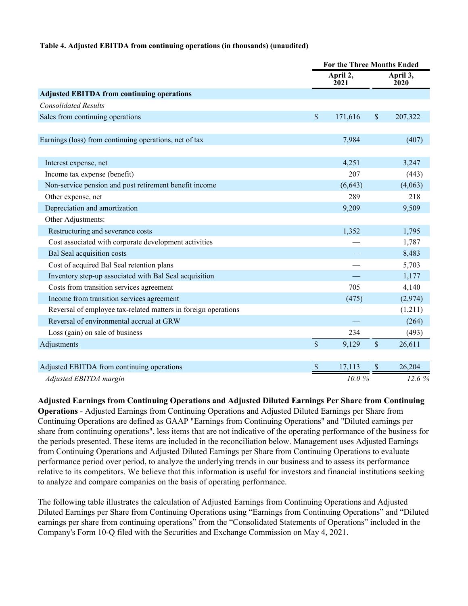#### **Table 4. Adjusted EBITDA from continuing operations (in thousands) (unaudited)**

|                                                                |               | <b>For the Three Months Ended</b> |               |                         |  |
|----------------------------------------------------------------|---------------|-----------------------------------|---------------|-------------------------|--|
|                                                                |               | April 2,<br>2021                  |               | April 3,<br><b>2020</b> |  |
| <b>Adjusted EBITDA from continuing operations</b>              |               |                                   |               |                         |  |
| <b>Consolidated Results</b>                                    |               |                                   |               |                         |  |
| Sales from continuing operations                               | $\mathsf{\$}$ | 171,616                           | $\mathsf{\$}$ | 207,322                 |  |
|                                                                |               |                                   |               |                         |  |
| Earnings (loss) from continuing operations, net of tax         |               | 7,984                             |               | (407)                   |  |
|                                                                |               |                                   |               |                         |  |
| Interest expense, net                                          |               | 4,251                             |               | 3,247                   |  |
| Income tax expense (benefit)                                   |               | 207                               |               | (443)                   |  |
| Non-service pension and post retirement benefit income         |               | (6, 643)                          |               | (4,063)                 |  |
| Other expense, net                                             |               | 289                               |               | 218                     |  |
| Depreciation and amortization                                  |               | 9,209                             |               | 9,509                   |  |
| Other Adjustments:                                             |               |                                   |               |                         |  |
| Restructuring and severance costs                              |               | 1,352                             |               | 1,795                   |  |
| Cost associated with corporate development activities          |               |                                   |               | 1,787                   |  |
| <b>Bal Seal acquisition costs</b>                              |               |                                   |               | 8,483                   |  |
| Cost of acquired Bal Seal retention plans                      |               |                                   |               | 5,703                   |  |
| Inventory step-up associated with Bal Seal acquisition         |               |                                   |               | 1,177                   |  |
| Costs from transition services agreement                       |               | 705                               |               | 4,140                   |  |
| Income from transition services agreement                      |               | (475)                             |               | (2,974)                 |  |
| Reversal of employee tax-related matters in foreign operations |               |                                   |               | (1,211)                 |  |
| Reversal of environmental accrual at GRW                       |               |                                   |               | (264)                   |  |
| Loss (gain) on sale of business                                |               | 234                               |               | (493)                   |  |
| Adjustments                                                    | $\mathsf{\$}$ | 9,129                             | $\mathsf{\$}$ | 26,611                  |  |
|                                                                |               |                                   |               |                         |  |
| Adjusted EBITDA from continuing operations                     | $\mathcal{S}$ | 17,113                            | \$            | 26,204                  |  |
| Adjusted EBITDA margin                                         |               | 10.0%                             |               | 12.6 %                  |  |

**Adjusted Earnings from Continuing Operations and Adjusted Diluted Earnings Per Share from Continuing Operations** - Adjusted Earnings from Continuing Operations and Adjusted Diluted Earnings per Share from Continuing Operations are defined as GAAP "Earnings from Continuing Operations" and "Diluted earnings per share from continuing operations", less items that are not indicative of the operating performance of the business for the periods presented. These items are included in the reconciliation below. Management uses Adjusted Earnings from Continuing Operations and Adjusted Diluted Earnings per Share from Continuing Operations to evaluate performance period over period, to analyze the underlying trends in our business and to assess its performance relative to its competitors. We believe that this information is useful for investors and financial institutions seeking to analyze and compare companies on the basis of operating performance.

The following table illustrates the calculation of Adjusted Earnings from Continuing Operations and Adjusted Diluted Earnings per Share from Continuing Operations using "Earnings from Continuing Operations" and "Diluted earnings per share from continuing operations" from the "Consolidated Statements of Operations" included in the Company's Form 10-Q filed with the Securities and Exchange Commission on May 4, 2021.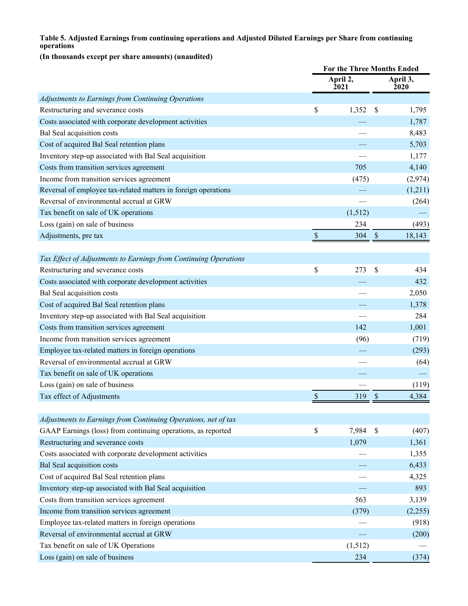## **Table 5. Adjusted Earnings from continuing operations and Adjusted Diluted Earnings per Share from continuing operations**

## **(In thousands except per share amounts) (unaudited)**

|                                                                  | <b>For the Three Months Ended</b> |                         |                           |         |
|------------------------------------------------------------------|-----------------------------------|-------------------------|---------------------------|---------|
|                                                                  |                                   | April 2,<br><b>2021</b> | April 3,<br><b>2020</b>   |         |
| Adjustments to Earnings from Continuing Operations               |                                   |                         |                           |         |
| Restructuring and severance costs                                | \$                                | 1,352                   | \$                        | 1,795   |
| Costs associated with corporate development activities           |                                   |                         |                           | 1,787   |
| Bal Seal acquisition costs                                       |                                   |                         |                           | 8,483   |
| Cost of acquired Bal Seal retention plans                        |                                   |                         |                           | 5,703   |
| Inventory step-up associated with Bal Seal acquisition           |                                   |                         |                           | 1,177   |
| Costs from transition services agreement                         |                                   | 705                     |                           | 4,140   |
| Income from transition services agreement                        |                                   | (475)                   |                           | (2,974) |
| Reversal of employee tax-related matters in foreign operations   |                                   |                         |                           | (1,211) |
| Reversal of environmental accrual at GRW                         |                                   |                         |                           | (264)   |
| Tax benefit on sale of UK operations                             |                                   | (1,512)                 |                           |         |
| Loss (gain) on sale of business                                  |                                   | 234                     |                           | (493)   |
| Adjustments, pre tax                                             | $\mathcal{S}$                     | 304                     | \$                        | 18,143  |
| Tax Effect of Adjustments to Earnings from Continuing Operations |                                   |                         |                           |         |
| Restructuring and severance costs                                | \$                                | 273                     | S                         | 434     |
| Costs associated with corporate development activities           |                                   |                         |                           | 432     |
| Bal Seal acquisition costs                                       |                                   |                         |                           | 2,050   |
| Cost of acquired Bal Seal retention plans                        |                                   |                         |                           | 1,378   |
| Inventory step-up associated with Bal Seal acquisition           |                                   |                         |                           | 284     |
| Costs from transition services agreement                         |                                   | 142                     |                           | 1,001   |
| Income from transition services agreement                        |                                   | (96)                    |                           | (719)   |
| Employee tax-related matters in foreign operations               |                                   |                         |                           | (293)   |
| Reversal of environmental accrual at GRW                         |                                   |                         |                           | (64)    |
| Tax benefit on sale of UK operations                             |                                   |                         |                           |         |
| Loss (gain) on sale of business                                  |                                   |                         |                           | (119)   |
| Tax effect of Adjustments                                        | \$                                | 319                     | \$                        | 4,384   |
|                                                                  |                                   |                         |                           |         |
| Adjustments to Earnings from Continuing Operations, net of tax   |                                   |                         |                           |         |
| GAAP Earnings (loss) from continuing operations, as reported     | \$                                | 7,984                   | $\boldsymbol{\mathsf{S}}$ | (407)   |
| Restructuring and severance costs                                |                                   | 1,079                   |                           | 1,361   |
| Costs associated with corporate development activities           |                                   |                         |                           | 1,355   |
| <b>Bal Seal acquisition costs</b>                                |                                   |                         |                           | 6,433   |
| Cost of acquired Bal Seal retention plans                        |                                   |                         |                           | 4,325   |
| Inventory step-up associated with Bal Seal acquisition           |                                   |                         |                           | 893     |
| Costs from transition services agreement                         |                                   | 563                     |                           | 3,139   |
| Income from transition services agreement                        |                                   | (379)                   |                           | (2,255) |
| Employee tax-related matters in foreign operations               |                                   |                         |                           | (918)   |
| Reversal of environmental accrual at GRW                         |                                   |                         |                           | (200)   |
| Tax benefit on sale of UK Operations                             |                                   | (1,512)                 |                           |         |
| Loss (gain) on sale of business                                  |                                   | 234                     |                           | (374)   |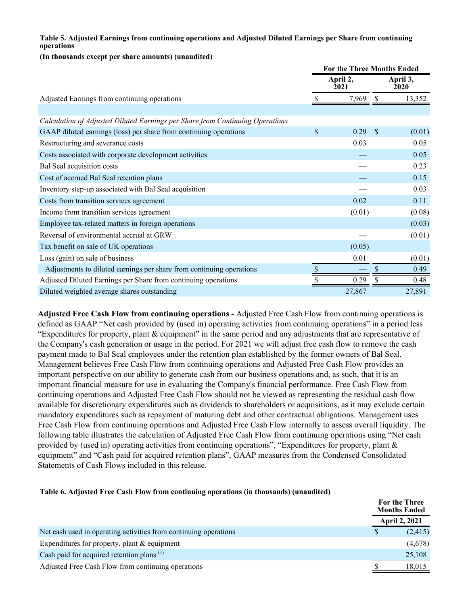## **Table 5. Adjusted Earnings from continuing operations and Adjusted Diluted Earnings per Share from continuing operations**

#### **(In thousands except per share amounts) (unaudited)**

|                                                                               | <b>For the Three Months Ended</b> |        |               |                  |  |  |
|-------------------------------------------------------------------------------|-----------------------------------|--------|---------------|------------------|--|--|
|                                                                               | April 2,<br>2021                  |        |               | April 3,<br>2020 |  |  |
| Adjusted Earnings from continuing operations                                  |                                   | 7,969  | <sup>S</sup>  | 13,352           |  |  |
|                                                                               |                                   |        |               |                  |  |  |
| Calculation of Adjusted Diluted Earnings per Share from Continuing Operations |                                   |        |               |                  |  |  |
| GAAP diluted earnings (loss) per share from continuing operations             | \$                                | 0.29   | <sup>\$</sup> | (0.01)           |  |  |
| Restructuring and severance costs                                             |                                   | 0.03   |               | 0.05             |  |  |
| Costs associated with corporate development activities                        |                                   |        |               | 0.05             |  |  |
| Bal Seal acquisition costs                                                    |                                   |        |               | 0.23             |  |  |
| Cost of accrued Bal Seal retention plans                                      |                                   |        |               | 0.15             |  |  |
| Inventory step-up associated with Bal Seal acquisition                        |                                   |        |               | 0.03             |  |  |
| Costs from transition services agreement                                      |                                   | 0.02   |               | 0.11             |  |  |
| Income from transition services agreement                                     |                                   | (0.01) |               | (0.08)           |  |  |
| Employee tax-related matters in foreign operations                            |                                   |        |               | (0.03)           |  |  |
| Reversal of environmental accrual at GRW                                      |                                   |        |               | (0.01)           |  |  |
| Tax benefit on sale of UK operations                                          |                                   | (0.05) |               |                  |  |  |
| Loss (gain) on sale of business                                               |                                   | 0.01   |               | (0.01)           |  |  |
| Adjustments to diluted earnings per share from continuing operations          | \$                                |        | \$            | 0.49             |  |  |
| Adjusted Diluted Earnings per Share from continuing operations                |                                   | 0.29   |               | 0.48             |  |  |
| Diluted weighted average shares outstanding                                   |                                   | 27,867 |               | 27,891           |  |  |

**Adjusted Free Cash Flow from continuing operations** - Adjusted Free Cash Flow from continuing operations is defined as GAAP "Net cash provided by (used in) operating activities from continuing operations" in a period less "Expenditures for property, plant & equipment" in the same period and any adjustments that are representative of the Company's cash generation or usage in the period. For 2021 we will adjust free cash flow to remove the cash payment made to Bal Seal employees under the retention plan established by the former owners of Bal Seal. Management believes Free Cash Flow from continuing operations and Adjusted Free Cash Flow provides an important perspective on our ability to generate cash from our business operations and, as such, that it is an important financial measure for use in evaluating the Company's financial performance. Free Cash Flow from continuing operations and Adjusted Free Cash Flow should not be viewed as representing the residual cash flow available for discretionary expenditures such as dividends to shareholders or acquisitions, as it may exclude certain mandatory expenditures such as repayment of maturing debt and other contractual obligations. Management uses Free Cash Flow from continuing operations and Adjusted Free Cash Flow internally to assess overall liquidity. The following table illustrates the calculation of Adjusted Free Cash Flow from continuing operations using "Net cash provided by (used in) operating activities from continuing operations", "Expenditures for property, plant & equipment" and "Cash paid for acquired retention plans", GAAP measures from the Condensed Consolidated Statements of Cash Flows included in this release.

### **Table 6. Adjusted Free Cash Flow from continuing operations (in thousands) (unaudited)**

|                                                                    | For the Three<br><b>Months Ended</b> |          |
|--------------------------------------------------------------------|--------------------------------------|----------|
|                                                                    | <b>April 2, 2021</b>                 |          |
| Net cash used in operating activities from continuing operations   | S                                    | (2, 415) |
| Expenditures for property, plant $&$ equipment                     |                                      | (4,678)  |
| Cash paid for acquired retention plans <sup><math>(1)</math></sup> |                                      | 25,108   |
| Adjusted Free Cash Flow from continuing operations                 |                                      | 18,015   |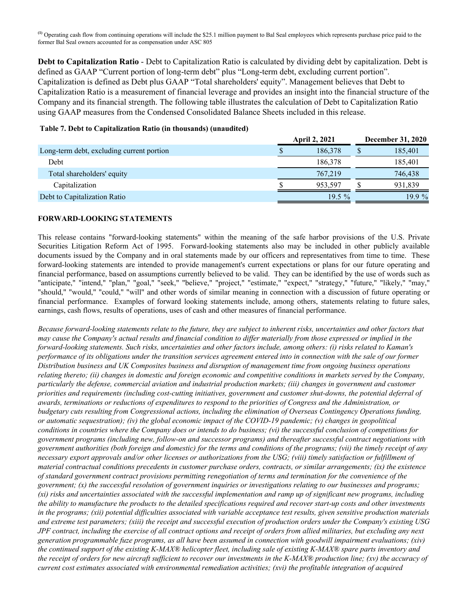**(1)** Operating cash flow from continuing operations will include the \$25.1 million payment to Bal Seal employees which represents purchase price paid to the former Bal Seal owners accounted for as compensation under ASC 805

**Debt to Capitalization Ratio** - Debt to Capitalization Ratio is calculated by dividing debt by capitalization. Debt is defined as GAAP "Current portion of long-term debt" plus "Long-term debt, excluding current portion". Capitalization is defined as Debt plus GAAP "Total shareholders' equity". Management believes that Debt to Capitalization Ratio is a measurement of financial leverage and provides an insight into the financial structure of the Company and its financial strength. The following table illustrates the calculation of Debt to Capitalization Ratio using GAAP measures from the Condensed Consolidated Balance Sheets included in this release.

| Table <i>A</i> Debt to Capitalization isatio (in thousands) (unaquited) |                      |                          |          |  |  |
|-------------------------------------------------------------------------|----------------------|--------------------------|----------|--|--|
|                                                                         | <b>April 2, 2021</b> | <b>December 31, 2020</b> |          |  |  |
| Long-term debt, excluding current portion                               | 186.378              |                          | 185,401  |  |  |
| Debt                                                                    | 186.378              |                          | 185.401  |  |  |
| Total shareholders' equity                                              | 767,219              |                          | 746,438  |  |  |
| Capitalization                                                          | 953.597              |                          | 931.839  |  |  |
| Debt to Capitalization Ratio                                            | $19.5\%$             |                          | $19.9\%$ |  |  |

## **Table 7. Debt to Capitalization Ratio (in thousands) (unaudited)**

#### **FORWARD-LOOKING STATEMENTS**

This release contains "forward-looking statements" within the meaning of the safe harbor provisions of the U.S. Private Securities Litigation Reform Act of 1995. Forward-looking statements also may be included in other publicly available documents issued by the Company and in oral statements made by our officers and representatives from time to time. These forward-looking statements are intended to provide management's current expectations or plans for our future operating and financial performance, based on assumptions currently believed to be valid. They can be identified by the use of words such as "anticipate," "intend," "plan," "goal," "seek," "believe," "project," "estimate," "expect," "strategy," "future," "likely," "may," "should," "would," "could," "will" and other words of similar meaning in connection with a discussion of future operating or financial performance. Examples of forward looking statements include, among others, statements relating to future sales, earnings, cash flows, results of operations, uses of cash and other measures of financial performance.

*Because forward-looking statements relate to the future, they are subject to inherent risks, uncertainties and other factors that may cause the Company's actual results and financial condition to differ materially from those expressed or implied in the forward-looking statements. Such risks, uncertainties and other factors include, among others: (i) risks related to Kaman's performance of its obligations under the transition services agreement entered into in connection with the sale of our former Distribution business and UK Composites business and disruption of management time from ongoing business operations relating thereto; (ii) changes in domestic and foreign economic and competitive conditions in markets served by the Company, particularly the defense, commercial aviation and industrial production markets; (iii) changes in government and customer priorities and requirements (including cost-cutting initiatives, government and customer shut-downs, the potential deferral of awards, terminations or reductions of expenditures to respond to the priorities of Congress and the Administration, or budgetary cuts resulting from Congressional actions, including the elimination of Overseas Contingency Operations funding, or automatic sequestration); (iv) the global economic impact of the COVID-19 pandemic; (v) changes in geopolitical conditions in countries where the Company does or intends to do business; (vi) the successful conclusion of competitions for government programs (including new, follow-on and successor programs) and thereafter successful contract negotiations with government authorities (both foreign and domestic) for the terms and conditions of the programs; (vii) the timely receipt of any necessary export approvals and/or other licenses or authorizations from the USG; (viii) timely satisfaction or fulfillment of material contractual conditions precedents in customer purchase orders, contracts, or similar arrangements; (ix) the existence of standard government contract provisions permitting renegotiation of terms and termination for the convenience of the government; (x) the successful resolution of government inquiries or investigations relating to our businesses and programs; (xi) risks and uncertainties associated with the successful implementation and ramp up of significant new programs, including the ability to manufacture the products to the detailed specifications required and recover start-up costs and other investments in the programs; (xii) potential difficulties associated with variable acceptance test results, given sensitive production materials and extreme test parameters; (xiii) the receipt and successful execution of production orders under the Company's existing USG JPF contract, including the exercise of all contract options and receipt of orders from allied militaries, but excluding any next generation programmable fuze programs, as all have been assumed in connection with goodwill impairment evaluations; (xiv) the continued support of the existing K-MAX® helicopter fleet, including sale of existing K-MAX® spare parts inventory and the receipt of orders for new aircraft sufficient to recover our investments in the K-MAX® production line; (xv) the accuracy of current cost estimates associated with environmental remediation activities; (xvi) the profitable integration of acquired*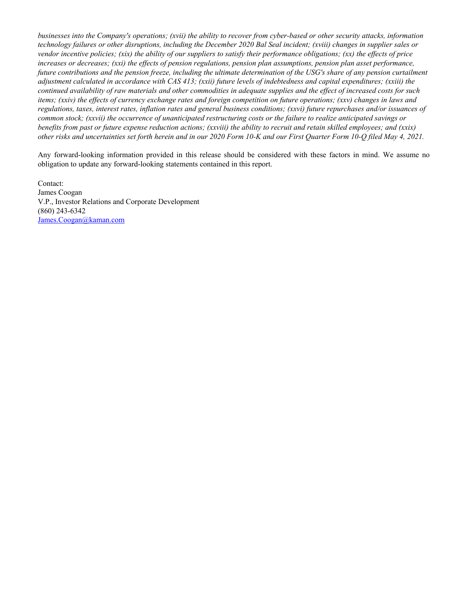*businesses into the Company's operations; (xvii) the ability to recover from cyber-based or other security attacks, information technology failures or other disruptions, including the December 2020 Bal Seal incident; (xviii) changes in supplier sales or vendor incentive policies; (xix) the ability of our suppliers to satisfy their performance obligations; (xx) the effects of price increases or decreases; (xxi) the effects of pension regulations, pension plan assumptions, pension plan asset performance, future contributions and the pension freeze, including the ultimate determination of the USG's share of any pension curtailment adjustment calculated in accordance with CAS 413; (xxii) future levels of indebtedness and capital expenditures; (xxiii) the continued availability of raw materials and other commodities in adequate supplies and the effect of increased costs for such items; (xxiv) the effects of currency exchange rates and foreign competition on future operations; (xxv) changes in laws and regulations, taxes, interest rates, inflation rates and general business conditions; (xxvi) future repurchases and/or issuances of common stock; (xxvii) the occurrence of unanticipated restructuring costs or the failure to realize anticipated savings or benefits from past or future expense reduction actions; (xxviii) the ability to recruit and retain skilled employees; and (xxix) other risks and uncertainties set forth herein and in our 2020 Form 10-K and our First Quarter Form 10-Q filed May 4, 2021.*

Any forward-looking information provided in this release should be considered with these factors in mind. We assume no obligation to update any forward-looking statements contained in this report.

Contact: James Coogan V.P., Investor Relations and Corporate Development (860) 243-6342 James.Coogan@kaman.com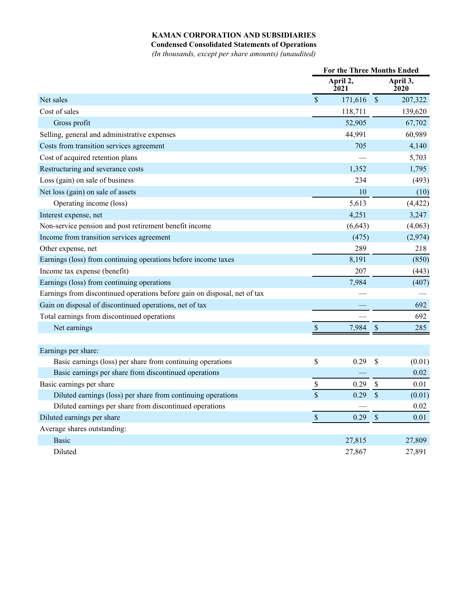## **KAMAN CORPORATION AND SUBSIDIARIES**

**Condensed Consolidated Statements of Operations**

*(In thousands, except per share amounts) (unaudited)*

|                                                                           | <b>For the Three Months Ended</b> |                  |                           |                         |
|---------------------------------------------------------------------------|-----------------------------------|------------------|---------------------------|-------------------------|
|                                                                           |                                   | April 2,<br>2021 |                           | April 3,<br><b>2020</b> |
| Net sales                                                                 | \$                                | 171,616          | $\mathcal{S}$             | 207,322                 |
| Cost of sales                                                             |                                   | 118,711          |                           | 139,620                 |
| Gross profit                                                              |                                   | 52,905           |                           | 67,702                  |
| Selling, general and administrative expenses                              |                                   | 44,991           |                           | 60,989                  |
| Costs from transition services agreement                                  |                                   | 705              |                           | 4,140                   |
| Cost of acquired retention plans                                          |                                   |                  |                           | 5,703                   |
| Restructuring and severance costs                                         |                                   | 1,352            |                           | 1,795                   |
| Loss (gain) on sale of business                                           |                                   | 234              |                           | (493)                   |
| Net loss (gain) on sale of assets                                         |                                   | 10               |                           | (10)                    |
| Operating income (loss)                                                   |                                   | 5,613            |                           | (4, 422)                |
| Interest expense, net                                                     |                                   | 4,251            |                           | 3,247                   |
| Non-service pension and post retirement benefit income                    |                                   | (6, 643)         |                           | (4,063)                 |
| Income from transition services agreement                                 |                                   | (475)            |                           | (2,974)                 |
| Other expense, net                                                        |                                   | 289              |                           | 218                     |
| Earnings (loss) from continuing operations before income taxes            |                                   | 8,191            |                           | (850)                   |
| Income tax expense (benefit)                                              |                                   | 207              |                           | (443)                   |
| Earnings (loss) from continuing operations                                |                                   | 7,984            |                           | (407)                   |
| Earnings from discontinued operations before gain on disposal, net of tax |                                   |                  |                           |                         |
| Gain on disposal of discontinued operations, net of tax                   |                                   |                  |                           | 692                     |
| Total earnings from discontinued operations                               |                                   |                  |                           | 692                     |
| Net earnings                                                              | $\mathcal{S}$                     | 7,984            | \$                        | 285                     |
|                                                                           |                                   |                  |                           |                         |
| Earnings per share:                                                       |                                   |                  |                           |                         |
| Basic earnings (loss) per share from continuing operations                | \$                                | 0.29             | \$                        | (0.01)                  |
| Basic earnings per share from discontinued operations                     |                                   |                  |                           | 0.02                    |
| Basic earnings per share                                                  | \$                                | 0.29             | $\boldsymbol{\mathsf{S}}$ | 0.01                    |
| Diluted earnings (loss) per share from continuing operations              | $\overline{\mathbb{S}}$           | 0.29             | \$                        | (0.01)                  |
| Diluted earnings per share from discontinued operations                   |                                   |                  |                           | 0.02                    |
| Diluted earnings per share                                                | \$                                | 0.29             | $\mathcal{S}$             | 0.01                    |
| Average shares outstanding:                                               |                                   |                  |                           |                         |
| <b>Basic</b>                                                              |                                   | 27,815           |                           | 27,809                  |
| Diluted                                                                   |                                   | 27,867           |                           | 27,891                  |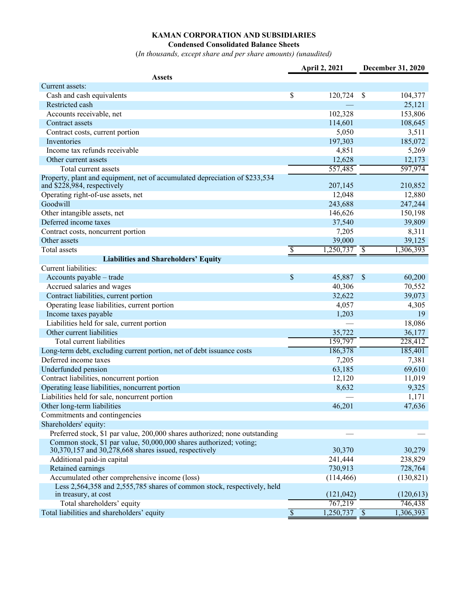# **KAMAN CORPORATION AND SUBSIDIARIES**

#### **Condensed Consolidated Balance Sheets**

(*In thousands, except share and per share amounts) (unaudited)*

|                                                                                                                             |                          | April 2, 2021             |               | December 31, 2020 |
|-----------------------------------------------------------------------------------------------------------------------------|--------------------------|---------------------------|---------------|-------------------|
| <b>Assets</b>                                                                                                               |                          |                           |               |                   |
| Current assets:                                                                                                             |                          |                           |               |                   |
| Cash and cash equivalents                                                                                                   | \$                       | 120,724                   | \$            | 104,377           |
| Restricted cash                                                                                                             |                          |                           |               | 25,121            |
| Accounts receivable, net                                                                                                    |                          | 102,328                   |               | 153,806           |
| Contract assets                                                                                                             |                          | 114,601                   |               | 108,645           |
| Contract costs, current portion                                                                                             |                          | 5,050                     |               | 3,511             |
| Inventories                                                                                                                 |                          | 197,303                   |               | 185,072           |
| Income tax refunds receivable                                                                                               |                          | 4,851                     |               | 5,269             |
| Other current assets                                                                                                        |                          | 12,628                    |               | 12,173            |
| Total current assets                                                                                                        |                          | 557,485                   |               | 597,974           |
| Property, plant and equipment, net of accumulated depreciation of \$233,534<br>and \$228,984, respectively                  |                          | 207,145                   |               | 210,852           |
| Operating right-of-use assets, net                                                                                          |                          | 12,048                    |               | 12,880            |
| Goodwill                                                                                                                    |                          | 243,688                   |               | 247,244           |
| Other intangible assets, net                                                                                                |                          | 146,626                   |               | 150,198           |
| Deferred income taxes                                                                                                       |                          | 37,540                    |               | 39,809            |
| Contract costs, noncurrent portion                                                                                          |                          | 7,205                     |               | 8,311             |
| Other assets                                                                                                                |                          | 39,000                    |               | 39,125            |
| Total assets                                                                                                                | $\overline{\mathcal{S}}$ | $\overline{1,250,737}$ \$ |               | 1,306,393         |
| <b>Liabilities and Shareholders' Equity</b>                                                                                 |                          |                           |               |                   |
| Current liabilities:                                                                                                        |                          |                           |               |                   |
| Accounts payable - trade                                                                                                    | \$                       | 45,887                    | $\mathcal{S}$ | 60,200            |
| Accrued salaries and wages                                                                                                  |                          | 40,306                    |               | 70,552            |
| Contract liabilities, current portion                                                                                       |                          | 32,622                    |               | 39,073            |
| Operating lease liabilities, current portion                                                                                |                          | 4,057                     |               | 4,305             |
| Income taxes payable                                                                                                        |                          |                           |               |                   |
|                                                                                                                             |                          | 1,203                     |               | 19                |
| Liabilities held for sale, current portion                                                                                  |                          |                           |               | 18,086            |
| Other current liabilities                                                                                                   |                          | 35,722                    |               | 36,177            |
| Total current liabilities                                                                                                   |                          | 159,797                   |               | 228,412           |
| Long-term debt, excluding current portion, net of debt issuance costs                                                       |                          | 186,378                   |               | 185,401           |
| Deferred income taxes                                                                                                       |                          | 7,205                     |               | 7,381             |
| Underfunded pension                                                                                                         |                          | 63,185                    |               | 69,610            |
| Contract liabilities, noncurrent portion                                                                                    |                          | 12,120                    |               | 11,019            |
| Operating lease liabilities, noncurrent portion                                                                             |                          | 8,632                     |               | 9,325             |
| Liabilities held for sale, noncurrent portion                                                                               |                          |                           |               | 1,171             |
| Other long-term liabilities                                                                                                 |                          | 46,201                    |               | 47,636            |
| Commitments and contingencies                                                                                               |                          |                           |               |                   |
| Shareholders' equity:                                                                                                       |                          |                           |               |                   |
| Preferred stock, \$1 par value, 200,000 shares authorized; none outstanding                                                 |                          |                           |               |                   |
| Common stock, \$1 par value, 50,000,000 shares authorized; voting;<br>30,370,157 and 30,278,668 shares issued, respectively |                          | 30,370                    |               | 30,279            |
| Additional paid-in capital                                                                                                  |                          | 241,444                   |               | 238,829           |
| Retained earnings                                                                                                           |                          | 730,913                   |               | 728,764           |
| Accumulated other comprehensive income (loss)                                                                               |                          | (114, 466)                |               | (130, 821)        |
| Less 2,564,358 and 2,555,785 shares of common stock, respectively, held<br>in treasury, at cost                             |                          | (121, 042)                |               | (120, 613)        |
| Total shareholders' equity                                                                                                  |                          | 767,219                   |               | 746,438           |
| Total liabilities and shareholders' equity                                                                                  | $\overline{\mathcal{S}}$ | $\overline{1,250,737}$ \$ |               | 1,306,393         |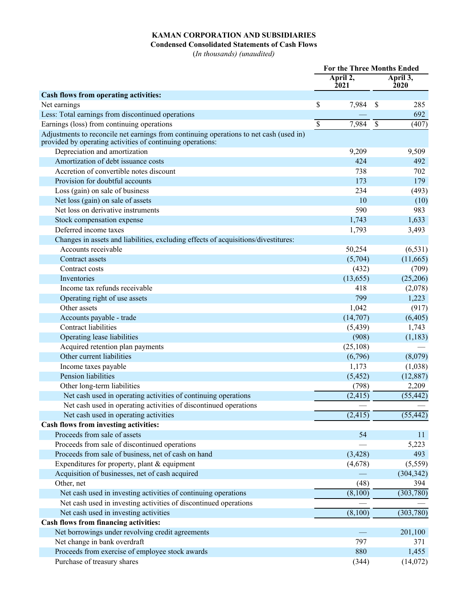# **KAMAN CORPORATION AND SUBSIDIARIES**

**Condensed Consolidated Statements of Cash Flows**

(*In thousands) (unaudited)*

|                                                                                                                                                      | <b>For the Three Months Ended</b> |                  |            |                  |
|------------------------------------------------------------------------------------------------------------------------------------------------------|-----------------------------------|------------------|------------|------------------|
|                                                                                                                                                      |                                   | April 2,<br>2021 |            | April 3,<br>2020 |
| Cash flows from operating activities:                                                                                                                |                                   |                  |            |                  |
| Net earnings                                                                                                                                         | \$                                | 7,984            | -S         | 285              |
| Less: Total earnings from discontinued operations                                                                                                    |                                   |                  |            | 692              |
| Earnings (loss) from continuing operations                                                                                                           | $\mathcal{S}$                     | 7,984            | $\sqrt{3}$ | (407)            |
| Adjustments to reconcile net earnings from continuing operations to net cash (used in)<br>provided by operating activities of continuing operations: |                                   |                  |            |                  |
| Depreciation and amortization                                                                                                                        |                                   | 9,209            |            | 9,509            |
| Amortization of debt issuance costs                                                                                                                  |                                   | 424              |            | 492              |
| Accretion of convertible notes discount                                                                                                              |                                   | 738              |            | 702              |
| Provision for doubtful accounts                                                                                                                      |                                   | 173              |            | 179              |
| Loss (gain) on sale of business                                                                                                                      |                                   | 234              |            | (493)            |
| Net loss (gain) on sale of assets                                                                                                                    |                                   | 10               |            | (10)             |
| Net loss on derivative instruments                                                                                                                   |                                   | 590              |            | 983              |
| Stock compensation expense                                                                                                                           |                                   | 1,743            |            | 1,633            |
| Deferred income taxes                                                                                                                                |                                   | 1,793            |            | 3,493            |
| Changes in assets and liabilities, excluding effects of acquisitions/divestitures:                                                                   |                                   |                  |            |                  |
| Accounts receivable                                                                                                                                  |                                   | 50,254           |            | (6, 531)         |
| Contract assets                                                                                                                                      |                                   | (5,704)          |            | (11,665)         |
| Contract costs                                                                                                                                       |                                   | (432)            |            | (709)            |
| Inventories                                                                                                                                          |                                   | (13, 655)        |            | (25,206)         |
| Income tax refunds receivable                                                                                                                        |                                   | 418              |            | (2,078)          |
| Operating right of use assets                                                                                                                        |                                   | 799              |            | 1,223            |
| Other assets                                                                                                                                         |                                   | 1,042            |            | (917)            |
| Accounts payable - trade                                                                                                                             |                                   | (14,707)         |            | (6,405)          |
| <b>Contract liabilities</b>                                                                                                                          |                                   | (5, 439)         |            | 1,743            |
| Operating lease liabilities                                                                                                                          |                                   | (908)            |            | (1,183)          |
| Acquired retention plan payments                                                                                                                     |                                   | (25,108)         |            |                  |
| Other current liabilities                                                                                                                            |                                   | (6,796)          |            | (8,079)          |
| Income taxes payable                                                                                                                                 |                                   | 1,173            |            | (1,038)          |
| Pension liabilities                                                                                                                                  |                                   | (5, 452)         |            | (12, 887)        |
| Other long-term liabilities                                                                                                                          |                                   | (798)            |            | 2,209            |
| Net cash used in operating activities of continuing operations                                                                                       |                                   | (2, 415)         |            | (55, 442)        |
| Net cash used in operating activities of discontinued operations                                                                                     |                                   |                  |            |                  |
| Net cash used in operating activities                                                                                                                |                                   | (2, 415)         |            | (55, 442)        |
| Cash flows from investing activities:                                                                                                                |                                   |                  |            |                  |
| Proceeds from sale of assets                                                                                                                         |                                   | 54               |            | 11               |
| Proceeds from sale of discontinued operations                                                                                                        |                                   |                  |            | 5,223            |
| Proceeds from sale of business, net of cash on hand                                                                                                  |                                   | (3, 428)         |            | 493              |
| Expenditures for property, plant $&$ equipment                                                                                                       |                                   | (4,678)          |            | (5,559)          |
| Acquisition of businesses, net of cash acquired                                                                                                      |                                   |                  |            | (304, 342)       |
| Other, net                                                                                                                                           |                                   | (48)             |            | 394              |
| Net cash used in investing activities of continuing operations                                                                                       |                                   | (8,100)          |            | (303, 780)       |
| Net cash used in investing activities of discontinued operations                                                                                     |                                   |                  |            |                  |
| Net cash used in investing activities                                                                                                                |                                   | (8,100)          |            | (303, 780)       |
| Cash flows from financing activities:                                                                                                                |                                   |                  |            |                  |
| Net borrowings under revolving credit agreements                                                                                                     |                                   |                  |            | 201,100          |
| Net change in bank overdraft                                                                                                                         |                                   | 797              |            | 371              |
| Proceeds from exercise of employee stock awards                                                                                                      |                                   | 880              |            | 1,455            |
| Purchase of treasury shares                                                                                                                          |                                   | (344)            |            | (14,072)         |